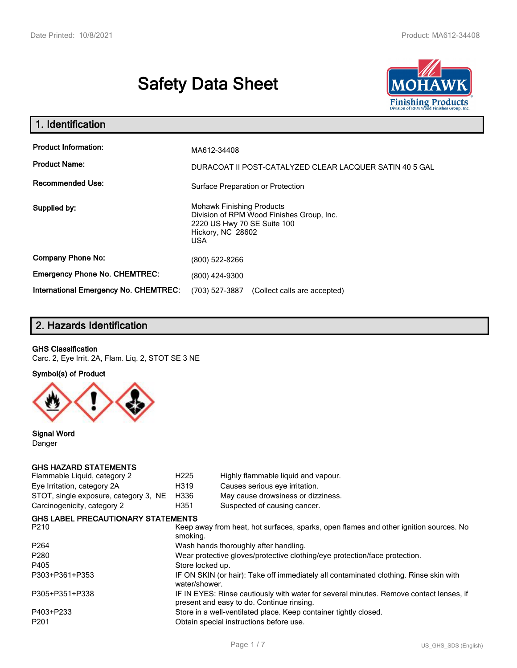# **Safety Data Sheet**



| 1. Identification                                   |                                                                                                                                          |
|-----------------------------------------------------|------------------------------------------------------------------------------------------------------------------------------------------|
| <b>Product Information:</b><br><b>Product Name:</b> | MA612-34408<br>DURACOAT II POST-CATALYZED CLEAR LACQUER SATIN 40 5 GAL                                                                   |
| <b>Recommended Use:</b>                             | Surface Preparation or Protection                                                                                                        |
| Supplied by:                                        | <b>Mohawk Finishing Products</b><br>Division of RPM Wood Finishes Group, Inc.<br>2220 US Hwy 70 SE Suite 100<br>Hickory, NC 28602<br>USA |
| <b>Company Phone No:</b>                            | (800) 522-8266                                                                                                                           |
| <b>Emergency Phone No. CHEMTREC:</b>                | (800) 424-9300                                                                                                                           |
| International Emergency No. CHEMTREC:               | (703) 527-3887<br>(Collect calls are accepted)                                                                                           |

# **2. Hazards Identification**

### **GHS Classification**

*Carc. 2, Eye Irrit. 2A, Flam. Liq. 2, STOT SE 3 NE*

### **Symbol(s) of Product**



**Signal Word** *Danger*

### **GHS HAZARD STATEMENTS**

| H <sub>225</sub>                                                           | Highly flammable liquid and vapour.                                                                                                 |  |
|----------------------------------------------------------------------------|-------------------------------------------------------------------------------------------------------------------------------------|--|
| H319                                                                       | Causes serious eye irritation.                                                                                                      |  |
| H336                                                                       | May cause drowsiness or dizziness.                                                                                                  |  |
| H351                                                                       | Suspected of causing cancer.                                                                                                        |  |
| <b>GHS LABEL PRECAUTIONARY STATEMENTS</b>                                  |                                                                                                                                     |  |
| smoking.                                                                   | Keep away from heat, hot surfaces, sparks, open flames and other ignition sources. No                                               |  |
|                                                                            | Wash hands thoroughly after handling.                                                                                               |  |
| Wear protective gloves/protective clothing/eye protection/face protection. |                                                                                                                                     |  |
| Store locked up.                                                           |                                                                                                                                     |  |
| water/shower.                                                              | IF ON SKIN (or hair): Take off immediately all contaminated clothing. Rinse skin with                                               |  |
|                                                                            | IF IN EYES: Rinse cautiously with water for several minutes. Remove contact lenses, if<br>present and easy to do. Continue rinsing. |  |
|                                                                            | Store in a well-ventilated place. Keep container tightly closed.                                                                    |  |
|                                                                            | Obtain special instructions before use.                                                                                             |  |
|                                                                            |                                                                                                                                     |  |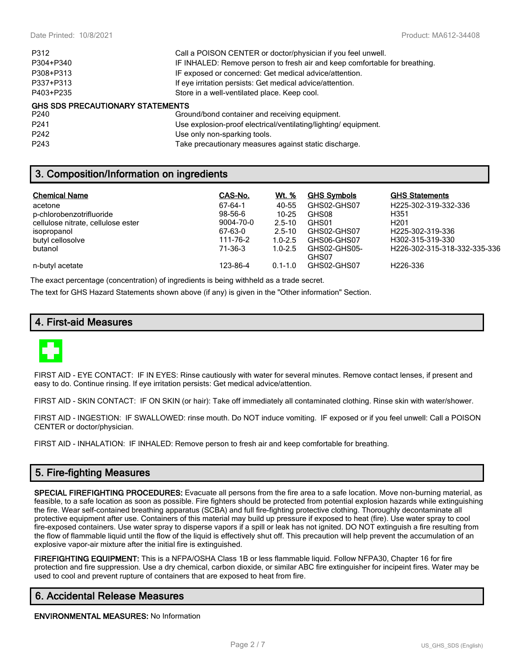| P312                                    | Call a POISON CENTER or doctor/physician if you feel unwell.               |
|-----------------------------------------|----------------------------------------------------------------------------|
| P304+P340                               | IF INHALED: Remove person to fresh air and keep comfortable for breathing. |
| P308+P313                               | IF exposed or concerned: Get medical advice/attention.                     |
| P337+P313                               | If eye irritation persists: Get medical advice/attention.                  |
| P403+P235                               | Store in a well-ventilated place. Keep cool.                               |
| <b>GHS SDS PRECAUTIONARY STATEMENTS</b> |                                                                            |
| P240                                    | Ground/bond container and receiving equipment.                             |
| P <sub>241</sub>                        | Use explosion-proof electrical/ventilating/lighting/equipment.             |
|                                         |                                                                            |

*P242 Use only non-sparking tools.*

*P243 Take precautionary measures against static discharge.*

# **3. Composition/Information on ingredients**

| <b>Chemical Name</b>               | CAS-No.   | Wt. %       | <b>GHS Symbols</b> | <b>GHS Statements</b>         |
|------------------------------------|-----------|-------------|--------------------|-------------------------------|
| acetone                            | 67-64-1   | 40-55       | GHS02-GHS07        | H225-302-319-332-336          |
| p-chlorobenzotrifluoride           | 98-56-6   | $10 - 25$   | GHS08              | H351                          |
| cellulose nitrate, cellulose ester | 9004-70-0 | $2.5 - 10$  | GHS01              | H <sub>201</sub>              |
| isopropanol                        | 67-63-0   | $2.5 - 10$  | GHS02-GHS07        | H <sub>225</sub> -302-319-336 |
| butyl cellosolve                   | 111-76-2  | $1.0 - 2.5$ | GHS06-GHS07        | H302-315-319-330              |
| butanol                            | 71-36-3   | $1.0 - 2.5$ | GHS02-GHS05-       | H226-302-315-318-332-335-336  |
|                                    |           |             | GHS07              |                               |
| n-butyl acetate                    | 123-86-4  | $0.1 - 1.0$ | GHS02-GHS07        | H226-336                      |

*The exact percentage (concentration) of ingredients is being withheld as a trade secret.*

*The text for GHS Hazard Statements shown above (if any) is given in the "Other information" Section.*

# **4. First-aid Measures**



*FIRST AID - EYE CONTACT: IF IN EYES: Rinse cautiously with water for several minutes. Remove contact lenses, if present and easy to do. Continue rinsing. If eye irritation persists: Get medical advice/attention.*

*FIRST AID - SKIN CONTACT: IF ON SKIN (or hair): Take off immediately all contaminated clothing. Rinse skin with water/shower.*

*FIRST AID - INGESTION: IF SWALLOWED: rinse mouth. Do NOT induce vomiting. IF exposed or if you feel unwell: Call a POISON CENTER or doctor/physician.*

*FIRST AID - INHALATION: IF INHALED: Remove person to fresh air and keep comfortable for breathing.*

# **5. Fire-fighting Measures**

**SPECIAL FIREFIGHTING PROCEDURES:** *Evacuate all persons from the fire area to a safe location. Move non-burning material, as*  feasible, to a safe location as soon as possible. Fire fighters should be protected from potential explosion hazards while extinguishing the fire. Wear self-contained breathing apparatus (SCBA) and full fire-fighting protective clothing. Thoroughly decontaminate all *protective equipment after use. Containers of this material may build up pressure if exposed to heat (fire). Use water spray to cool fire-exposed containers. Use water spray to disperse vapors if a spill or leak has not ignited. DO NOT extinguish a fire resulting from the flow of flammable liquid until the flow of the liquid is effectively shut off. This precaution will help prevent the accumulation of an explosive vapor-air mixture after the initial fire is extinguished.*

**FIREFIGHTING EQUIPMENT:** *This is a NFPA/OSHA Class 1B or less flammable liquid. Follow NFPA30, Chapter 16 for fire protection and fire suppression. Use a dry chemical, carbon dioxide, or similar ABC fire extinguisher for incipeint fires. Water may be used to cool and prevent rupture of containers that are exposed to heat from fire.*

# **6. Accidental Release Measures**

**ENVIRONMENTAL MEASURES:** *No Information*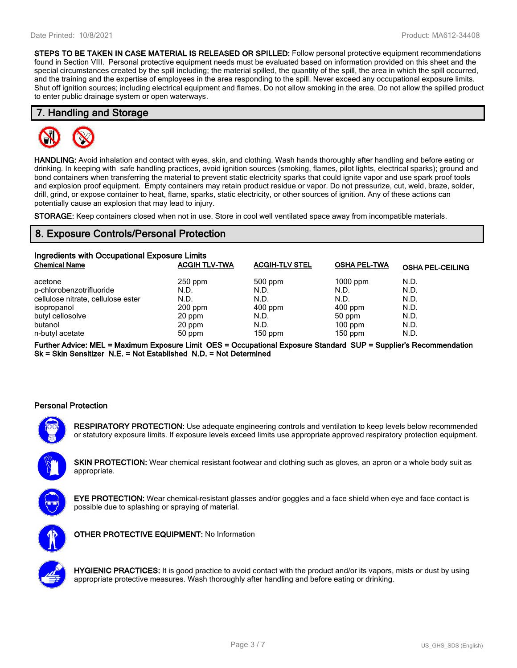**STEPS TO BE TAKEN IN CASE MATERIAL IS RELEASED OR SPILLED:** *Follow personal protective equipment recommendations found in Section VIII. Personal protective equipment needs must be evaluated based on information provided on this sheet and the*  special circumstances created by the spill including; the material spilled, the quantity of the spill, the area in which the spill occurred, *and the training and the expertise of employees in the area responding to the spill. Never exceed any occupational exposure limits. Shut off ignition sources; including electrical equipment and flames. Do not allow smoking in the area. Do not allow the spilled product to enter public drainage system or open waterways.*

### **7. Handling and Storage**



**HANDLING:** *Avoid inhalation and contact with eyes, skin, and clothing. Wash hands thoroughly after handling and before eating or drinking. In keeping with safe handling practices, avoid ignition sources (smoking, flames, pilot lights, electrical sparks); ground and bond containers when transferring the material to prevent static electricity sparks that could ignite vapor and use spark proof tools and explosion proof equipment. Empty containers may retain product residue or vapor. Do not pressurize, cut, weld, braze, solder, drill, grind, or expose container to heat, flame, sparks, static electricity, or other sources of ignition. Any of these actions can potentially cause an explosion that may lead to injury.*

**STORAGE:** *Keep containers closed when not in use. Store in cool well ventilated space away from incompatible materials.*

# **8. Exposure Controls/Personal Protection**

| Ingredients with Occupational Exposure Limits |                      |                       |                     |                         |  |
|-----------------------------------------------|----------------------|-----------------------|---------------------|-------------------------|--|
| <b>Chemical Name</b>                          | <b>ACGIH TLV-TWA</b> | <b>ACGIH-TLV STEL</b> | <b>OSHA PEL-TWA</b> | <b>OSHA PEL-CEILING</b> |  |
| acetone                                       | $250$ ppm            | 500 ppm               | $1000$ ppm          | N.D.                    |  |
| p-chlorobenzotrifluoride                      | N.D.                 | N.D.                  | N.D.                | N.D.                    |  |
| cellulose nitrate, cellulose ester            | N.D.                 | N.D.                  | N.D.                | N.D.                    |  |
| isopropanol                                   | $200$ ppm            | $400$ ppm             | $400$ ppm           | N.D.                    |  |
| butyl cellosolve                              | 20 ppm               | N.D.                  | 50 ppm              | N.D.                    |  |
| butanol                                       | 20 ppm               | N.D.                  | $100$ ppm           | N.D.                    |  |
| n-butyl acetate                               | 50 ppm               | $150$ ppm             | $150$ ppm           | N.D.                    |  |

**Further Advice: MEL = Maximum Exposure Limit OES = Occupational Exposure Standard SUP = Supplier's Recommendation Sk = Skin Sensitizer N.E. = Not Established N.D. = Not Determined**

### **Personal Protection**



**RESPIRATORY PROTECTION:** *Use adequate engineering controls and ventilation to keep levels below recommended or statutory exposure limits. If exposure levels exceed limits use appropriate approved respiratory protection equipment.*

**SKIN PROTECTION:** *Wear chemical resistant footwear and clothing such as gloves, an apron or a whole body suit as appropriate.*



**EYE PROTECTION:** *Wear chemical-resistant glasses and/or goggles and a face shield when eye and face contact is possible due to splashing or spraying of material.*



**OTHER PROTECTIVE EQUIPMENT:** *No Information*



**HYGIENIC PRACTICES:** *It is good practice to avoid contact with the product and/or its vapors, mists or dust by using appropriate protective measures. Wash thoroughly after handling and before eating or drinking.*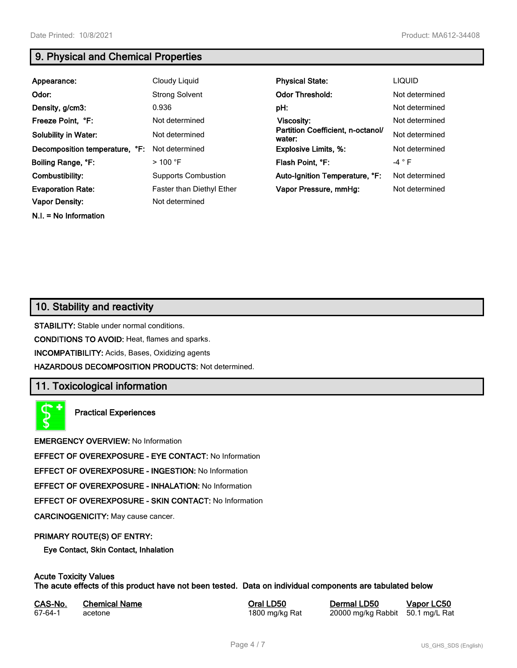**N.I. = No Information**

# **9. Physical and Chemical Properties**

| Appearance:                    | Cloudy Liquid              | <b>Physical State:</b>                      | <b>LIQUID</b>  |
|--------------------------------|----------------------------|---------------------------------------------|----------------|
| Odor:                          | <b>Strong Solvent</b>      | <b>Odor Threshold:</b>                      | Not determined |
| Density, g/cm3:                | 0.936                      | pH:                                         | Not determined |
| Freeze Point, °F:              | Not determined             | Viscosity:                                  | Not determined |
| <b>Solubility in Water:</b>    | Not determined             | Partition Coefficient, n-octanol/<br>water: | Not determined |
| Decomposition temperature, °F: | Not determined             | <b>Explosive Limits, %:</b>                 | Not determined |
| Boiling Range, °F:             | $>100$ °F                  | Flash Point, °F:                            | $-4$ $\circ$ F |
| Combustibility:                | <b>Supports Combustion</b> | Auto-Ignition Temperature, °F:              | Not determined |
| <b>Evaporation Rate:</b>       | Faster than Diethyl Ether  | Vapor Pressure, mmHg:                       | Not determined |
| <b>Vapor Density:</b>          | Not determined             |                                             |                |

# **10. Stability and reactivity**

**STABILITY:** *Stable under normal conditions.*

**CONDITIONS TO AVOID:** *Heat, flames and sparks.*

**INCOMPATIBILITY:** *Acids, Bases, Oxidizing agents*

**HAZARDOUS DECOMPOSITION PRODUCTS:** *Not determined.*

# **11. Toxicological information**

**Practical Experiences**

**EMERGENCY OVERVIEW:** *No Information*

**EFFECT OF OVEREXPOSURE - EYE CONTACT:** *No Information*

**EFFECT OF OVEREXPOSURE - INGESTION:** *No Information*

**EFFECT OF OVEREXPOSURE - INHALATION:** *No Information*

**EFFECT OF OVEREXPOSURE - SKIN CONTACT:** *No Information*

**CARCINOGENICITY:** *May cause cancer.*

### **PRIMARY ROUTE(S) OF ENTRY:**

**Eye Contact, Skin Contact, Inhalation**

# **Acute Toxicity Values**

**The acute effects of this product have not been tested. Data on individual components are tabulated below**

| CAS-No. | <b>Chemical Name</b> |  |
|---------|----------------------|--|
| 67-64-1 | acetone              |  |

**CASA-No. 2018 CONO. In the CASE CASE CONOCO CONOCO CONOCO CONOCO CONOCO CONOCO CONOCO CONOCO CONOCO CONOCO CONOCO CONOCO CONOCO CONOCO CONOCO CONOCO CONOCO CONOCO CONOCO CONOCO CONOCO CONOCO CONOCO CONOCO CONOCO CONOCO** *67-64-1 acetone 1800 mg/kg Rat 20000 mg/kg Rabbit 50.1 mg/L Rat*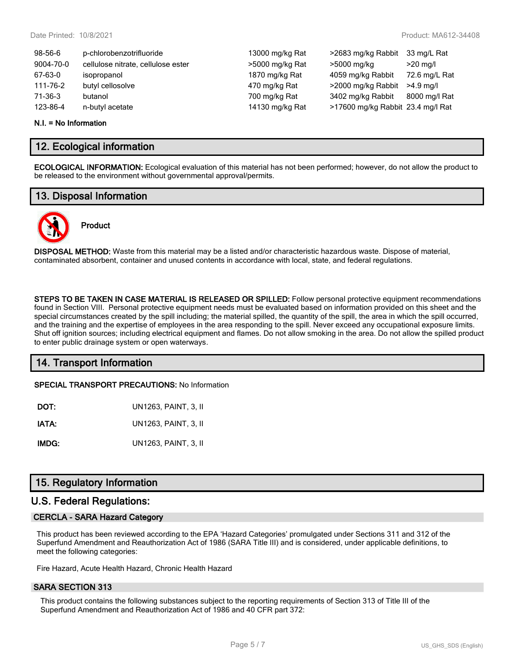| $98 - 56 - 6$ | p-chlorobenzotrifluoride           | 13000 mg/kg Rat | >2683 mg/kg Rabbit                | 33 mg/L Rat   |
|---------------|------------------------------------|-----------------|-----------------------------------|---------------|
| 9004-70-0     | cellulose nitrate, cellulose ester | >5000 mg/kg Rat | >5000 mg/kg                       | $>20$ mg/l    |
| 67-63-0       | isopropanol                        | 1870 mg/kg Rat  | 4059 mg/kg Rabbit                 | 72.6 mg/L Rat |
| 111-76-2      | butyl cellosolve                   | 470 mg/kg Rat   | >2000 mg/kg Rabbit                | $>4.9$ ma/l   |
| $71-36-3$     | butanol                            | 700 mg/kg Rat   | 3402 mg/kg Rabbit                 | 8000 mg/l Rat |
| 123-86-4      | n-butyl acetate                    | 14130 mg/kg Rat | >17600 mg/kg Rabbit 23.4 mg/l Rat |               |
|               |                                    |                 |                                   |               |

#### **N.I. = No Information**

### **12. Ecological information**

**ECOLOGICAL INFORMATION:** *Ecological evaluation of this material has not been performed; however, do not allow the product to be released to the environment without governmental approval/permits.*

### **13. Disposal Information**



# **Product**

**DISPOSAL METHOD:** *Waste from this material may be a listed and/or characteristic hazardous waste. Dispose of material, contaminated absorbent, container and unused contents in accordance with local, state, and federal regulations.*

**STEPS TO BE TAKEN IN CASE MATERIAL IS RELEASED OR SPILLED:** *Follow personal protective equipment recommendations found in Section VIII. Personal protective equipment needs must be evaluated based on information provided on this sheet and the special circumstances created by the spill including; the material spilled, the quantity of the spill, the area in which the spill occurred, and the training and the expertise of employees in the area responding to the spill. Never exceed any occupational exposure limits. Shut off ignition sources; including electrical equipment and flames. Do not allow smoking in the area. Do not allow the spilled product to enter public drainage system or open waterways.*

# **14. Transport Information**

**SPECIAL TRANSPORT PRECAUTIONS:** *No Information*

| DOT:  | UN1263, PAINT, 3, II |
|-------|----------------------|
| IATA: | UN1263, PAINT, 3, II |
| IMDG: | UN1263, PAINT, 3, II |

# **15. Regulatory Information**

### **U.S. Federal Regulations:**

### **CERCLA - SARA Hazard Category**

*This product has been reviewed according to the EPA 'Hazard Categories' promulgated under Sections 311 and 312 of the Superfund Amendment and Reauthorization Act of 1986 (SARA Title III) and is considered, under applicable definitions, to meet the following categories:*

*Fire Hazard, Acute Health Hazard, Chronic Health Hazard*

### **SARA SECTION 313**

*This product contains the following substances subject to the reporting requirements of Section 313 of Title III of the Superfund Amendment and Reauthorization Act of 1986 and 40 CFR part 372:*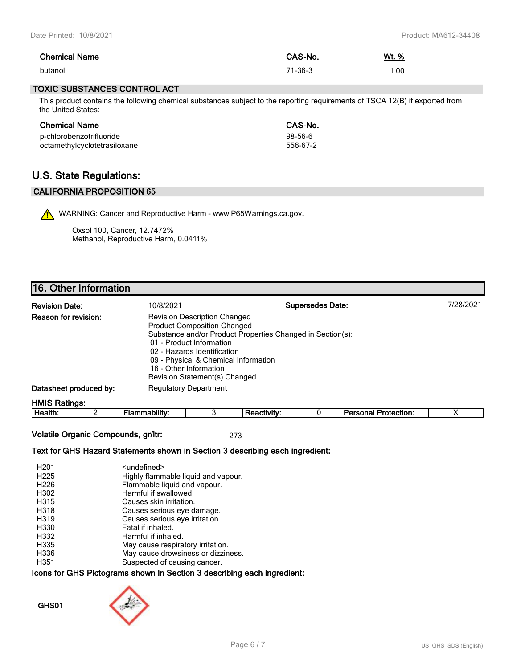| <b>Chemical Name</b> | CAS-No. | Wt. % |
|----------------------|---------|-------|
| butanol              | 71-36-3 | .00   |

### **TOXIC SUBSTANCES CONTROL ACT**

*This product contains the following chemical substances subject to the reporting requirements of TSCA 12(B) if exported from the United States:*

| <b>Chemical Name</b>         | CAS-No.   |
|------------------------------|-----------|
| p-chlorobenzotrifluoride     | $98-56-6$ |
| octamethylcyclotetrasiloxane | 556-67-2  |

# **U.S. State Regulations:**

### **CALIFORNIA PROPOSITION 65**

WARNING: Cancer and Reproductive Harm - www.P65Warnings.ca.gov.

Oxsol 100, Cancer, 12.7472% Methanol, Reproductive Harm, 0.0411%

# **16. Other Information**

| <b>Revision Date:</b>       | 10/8/2021                                                                                                                                                                                                                               | <b>Supersedes Date:</b>                                    | 7/28/2021 |
|-----------------------------|-----------------------------------------------------------------------------------------------------------------------------------------------------------------------------------------------------------------------------------------|------------------------------------------------------------|-----------|
| <b>Reason for revision:</b> | <b>Revision Description Changed</b><br><b>Product Composition Changed</b><br>01 - Product Information<br>02 - Hazards Identification<br>09 - Physical & Chemical Information<br>16 - Other Information<br>Revision Statement(s) Changed | Substance and/or Product Properties Changed in Section(s): |           |
| Datasheet produced by:      | <b>Regulatory Department</b>                                                                                                                                                                                                            |                                                            |           |
| $LIMC$ Dallager             |                                                                                                                                                                                                                                         |                                                            |           |

**HMIS Ratings:**

**Health:** *2* **Flammability:** *3* **Reactivity:** *0* **Personal Protection:** *X*

**Volatile Organic Compounds, gr/ltr:** *273*

### **Text for GHS Hazard Statements shown in Section 3 describing each ingredient:**

| H <sub>201</sub> | <undefined></undefined>             |
|------------------|-------------------------------------|
| H <sub>225</sub> | Highly flammable liquid and vapour. |
| H <sub>226</sub> | Flammable liquid and vapour.        |
| H302             | Harmful if swallowed.               |
| H315             | Causes skin irritation.             |
| H318             | Causes serious eye damage.          |
| H319             | Causes serious eye irritation.      |
| H330             | Fatal if inhaled.                   |
| H332             | Harmful if inhaled.                 |
| H335             | May cause respiratory irritation.   |
| H336             | May cause drowsiness or dizziness.  |
| H351             | Suspected of causing cancer.        |

### **Icons for GHS Pictograms shown in Section 3 describing each ingredient:**

**GHS01**